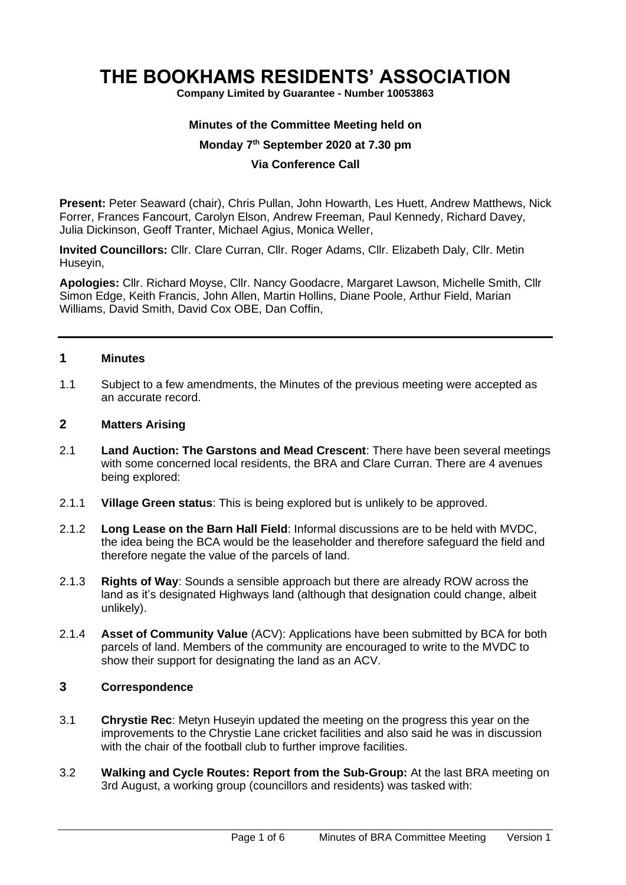# **THE BOOKHAMS RESIDENTS' ASSOCIATION**

**Company Limited by Guarantee - Number 10053863**

#### **Minutes of the Committee Meeting held on**

#### **Monday 7 th September 2020 at 7.30 pm**

#### **Via Conference Call**

**Present:** Peter Seaward (chair), Chris Pullan, John Howarth, Les Huett, Andrew Matthews, Nick Forrer, Frances Fancourt, Carolyn Elson, Andrew Freeman, Paul Kennedy, Richard Davey, Julia Dickinson, Geoff Tranter, Michael Agius, Monica Weller,

**Invited Councillors:** Cllr. Clare Curran, Cllr. Roger Adams, Cllr. Elizabeth Daly, Cllr. Metin Huseyin,

**Apologies:** Cllr. Richard Moyse, Cllr. Nancy Goodacre, Margaret Lawson, Michelle Smith, Cllr Simon Edge, Keith Francis, John Allen, Martin Hollins, Diane Poole, Arthur Field, Marian Williams, David Smith, David Cox OBE, Dan Coffin,

#### **1 Minutes**

1.1 Subject to a few amendments, the Minutes of the previous meeting were accepted as an accurate record.

#### **2 Matters Arising**

- 2.1 **Land Auction: The Garstons and Mead Crescent**: There have been several meetings with some concerned local residents, the BRA and Clare Curran. There are 4 avenues being explored:
- 2.1.1 **Village Green status**: This is being explored but is unlikely to be approved.
- 2.1.2 **Long Lease on the Barn Hall Field**: Informal discussions are to be held with MVDC, the idea being the BCA would be the leaseholder and therefore safeguard the field and therefore negate the value of the parcels of land.
- 2.1.3 **Rights of Way**: Sounds a sensible approach but there are already ROW across the land as it's designated Highways land (although that designation could change, albeit unlikely).
- 2.1.4 **Asset of Community Value** (ACV): Applications have been submitted by BCA for both parcels of land. Members of the community are encouraged to write to the MVDC to show their support for designating the land as an ACV.

### **3 Correspondence**

- 3.1 **Chrystie Rec**: Metyn Huseyin updated the meeting on the progress this year on the improvements to the Chrystie Lane cricket facilities and also said he was in discussion with the chair of the football club to further improve facilities.
- 3.2 **Walking and Cycle Routes: Report from the Sub-Group:** At the last BRA meeting on 3rd August, a working group (councillors and residents) was tasked with: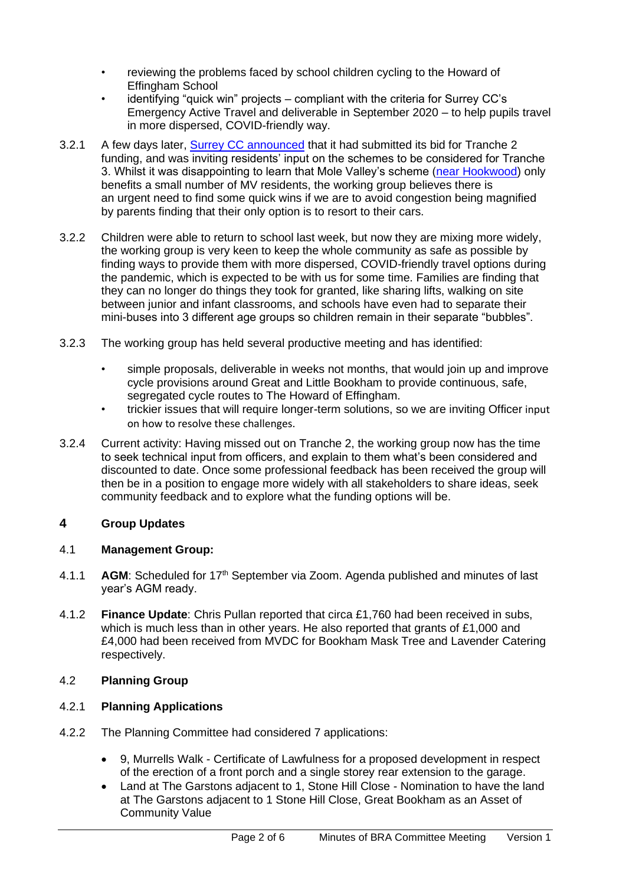- reviewing the problems faced by school children cycling to the Howard of Effingham School
- identifying "quick win" projects compliant with the criteria for Surrey CC's Emergency Active Travel and deliverable in September 2020 – to help pupils travel in more dispersed, COVID-friendly way.
- 3.2.1 A few days later, [Surrey CC announced](https://news.surreycc.gov.uk/2020/08/10/boost-for-cleaner-greener-travel-in-surrey/) that it had submitted its bid for Tranche 2 funding, and was inviting residents' input on the schemes to be considered for Tranche 3. Whilst it was disappointing to learn that Mole Valley's scheme [\(near Hookwood\)](https://surreycovidsoutheast.commonplace.is/schemes/proposals/a-217-westvale-park-to-gatwick-shared-cycle-footway-permanent-plans/details) only benefits a small number of MV residents, the working group believes there is an urgent need to find some quick wins if we are to avoid congestion being magnified by parents finding that their only option is to resort to their cars.
- 3.2.2 Children were able to return to school last week, but now they are mixing more widely, the working group is very keen to keep the whole community as safe as possible by finding ways to provide them with more dispersed, COVID-friendly travel options during the pandemic, which is expected to be with us for some time. Families are finding that they can no longer do things they took for granted, like sharing lifts, walking on site between junior and infant classrooms, and schools have even had to separate their mini-buses into 3 different age groups so children remain in their separate "bubbles".
- 3.2.3 The working group has held several productive meeting and has identified:
	- simple proposals, deliverable in weeks not months, that would join up and improve cycle provisions around Great and Little Bookham to provide continuous, safe, segregated cycle routes to The Howard of Effingham.
	- trickier issues that will require longer-term solutions, so we are inviting Officer input on how to resolve these challenges.
- 3.2.4 Current activity: Having missed out on Tranche 2, the working group now has the time to seek technical input from officers, and explain to them what's been considered and discounted to date. Once some professional feedback has been received the group will then be in a position to engage more widely with all stakeholders to share ideas, seek community feedback and to explore what the funding options will be.

# **4 Group Updates**

## 4.1 **Management Group:**

- 4.1.1 **AGM**: Scheduled for 17th September via Zoom. Agenda published and minutes of last year's AGM ready.
- 4.1.2 **Finance Update**: Chris Pullan reported that circa £1,760 had been received in subs, which is much less than in other years. He also reported that grants of £1,000 and £4,000 had been received from MVDC for Bookham Mask Tree and Lavender Catering respectively.

# 4.2 **Planning Group**

# 4.2.1 **Planning Applications**

- 4.2.2 The Planning Committee had considered 7 applications:
	- 9, Murrells Walk Certificate of Lawfulness for a proposed development in respect of the erection of a front porch and a single storey rear extension to the garage.
	- Land at The Garstons adjacent to 1, Stone Hill Close Nomination to have the land at The Garstons adjacent to 1 Stone Hill Close, Great Bookham as an Asset of Community Value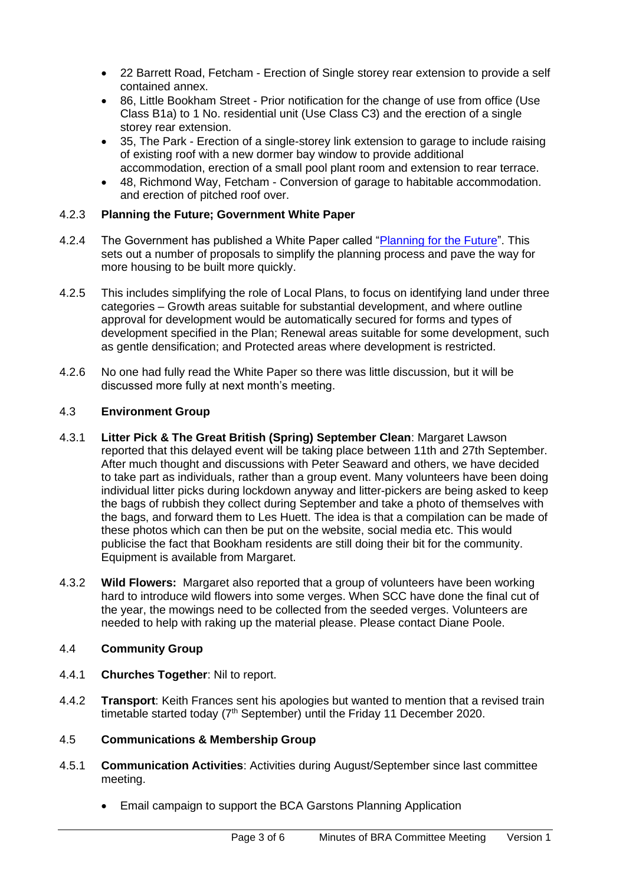- 22 Barrett Road, Fetcham Erection of Single storey rear extension to provide a self contained annex.
- 86, Little Bookham Street Prior notification for the change of use from office (Use Class B1a) to 1 No. residential unit (Use Class C3) and the erection of a single storey rear extension.
- 35, The Park Erection of a single-storey link extension to garage to include raising of existing roof with a new dormer bay window to provide additional accommodation, erection of a small pool plant room and extension to rear terrace.
- 48, Richmond Way, Fetcham Conversion of garage to habitable accommodation. and erection of pitched roof over.

## 4.2.3 **Planning the Future; Government White Paper**

- 4.2.4 The Government has published a White Paper called ["Planning for the Future"](Planning%20for%20the%20future). This sets out a number of proposals to simplify the planning process and pave the way for more housing to be built more quickly.
- 4.2.5 This includes simplifying the role of Local Plans, to focus on identifying land under three categories – Growth areas suitable for substantial development, and where outline approval for development would be automatically secured for forms and types of development specified in the Plan; Renewal areas suitable for some development, such as gentle densification; and Protected areas where development is restricted.
- 4.2.6 No one had fully read the White Paper so there was little discussion, but it will be discussed more fully at next month's meeting.

### 4.3 **Environment Group**

- 4.3.1 **Litter Pick & The Great British (Spring) September Clean**: Margaret Lawson reported that this delayed event will be taking place between 11th and 27th September. After much thought and discussions with Peter Seaward and others, we have decided to take part as individuals, rather than a group event. Many volunteers have been doing individual litter picks during lockdown anyway and litter-pickers are being asked to keep the bags of rubbish they collect during September and take a photo of themselves with the bags, and forward them to Les Huett. The idea is that a compilation can be made of these photos which can then be put on the website, social media etc. This would publicise the fact that Bookham residents are still doing their bit for the community. Equipment is available from Margaret.
- 4.3.2 **Wild Flowers:** Margaret also reported that a group of volunteers have been working hard to introduce wild flowers into some verges. When SCC have done the final cut of the year, the mowings need to be collected from the seeded verges. Volunteers are needed to help with raking up the material please. Please contact Diane Poole.

## 4.4 **Community Group**

- 4.4.1 **Churches Together**: Nil to report.
- 4.4.2 **Transport**: Keith Frances sent his apologies but wanted to mention that a revised train timetable started today  $(7<sup>th</sup>$  September) until the Friday 11 December 2020.

## 4.5 **Communications & Membership Group**

- 4.5.1 **Communication Activities**: Activities during August/September since last committee meeting.
	- Email campaign to support the BCA Garstons Planning Application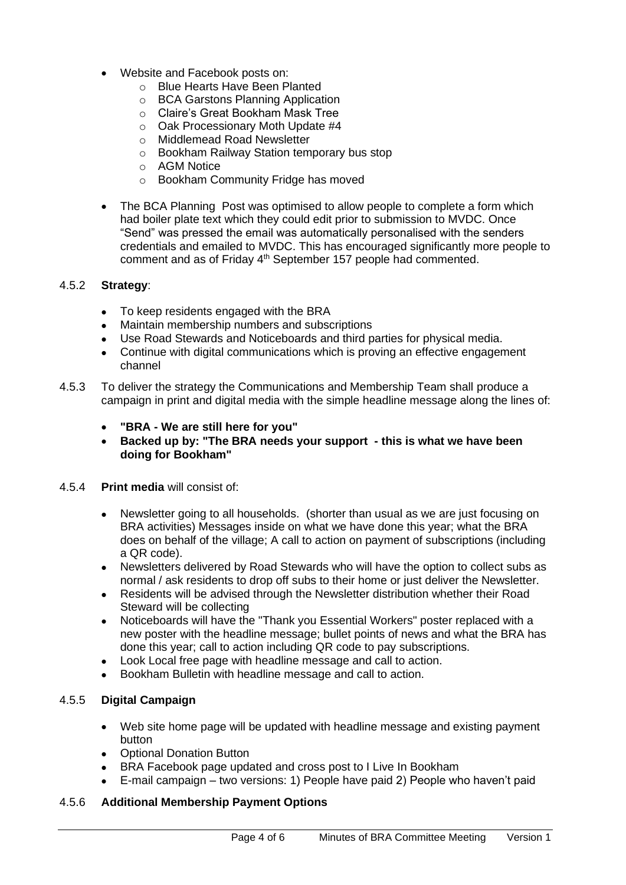- Website and Facebook posts on:
	- o Blue Hearts Have Been Planted
	- o BCA Garstons Planning Application
	- o Claire's Great Bookham Mask Tree
	- o Oak Processionary Moth Update #4
	- o Middlemead Road Newsletter
	- o Bookham Railway Station temporary bus stop
	- o AGM Notice
	- o Bookham Community Fridge has moved
- The BCA Planning Post was optimised to allow people to complete a form which had boiler plate text which they could edit prior to submission to MVDC. Once "Send" was pressed the email was automatically personalised with the senders credentials and emailed to MVDC. This has encouraged significantly more people to comment and as of Friday 4<sup>th</sup> September 157 people had commented.

#### 4.5.2 **Strategy**:

- To keep residents engaged with the BRA
- Maintain membership numbers and subscriptions
- Use Road Stewards and Noticeboards and third parties for physical media.
- Continue with digital communications which is proving an effective engagement channel
- 4.5.3 To deliver the strategy the Communications and Membership Team shall produce a campaign in print and digital media with the simple headline message along the lines of:
	- **"BRA - We are still here for you"**
	- **Backed up by: "The BRA needs your support - this is what we have been doing for Bookham"**

#### 4.5.4 **Print media** will consist of:

- Newsletter going to all households. (shorter than usual as we are just focusing on BRA activities) Messages inside on what we have done this year; what the BRA does on behalf of the village; A call to action on payment of subscriptions (including a QR code).
- Newsletters delivered by Road Stewards who will have the option to collect subs as normal / ask residents to drop off subs to their home or just deliver the Newsletter.
- Residents will be advised through the Newsletter distribution whether their Road Steward will be collecting
- Noticeboards will have the "Thank you Essential Workers" poster replaced with a new poster with the headline message; bullet points of news and what the BRA has done this year; call to action including QR code to pay subscriptions.
- Look Local free page with headline message and call to action.
- Bookham Bulletin with headline message and call to action.

#### 4.5.5 **Digital Campaign**

- Web site home page will be updated with headline message and existing payment button
- Optional Donation Button
- BRA Facebook page updated and cross post to I Live In Bookham
- E-mail campaign two versions: 1) People have paid 2) People who haven't paid

## 4.5.6 **Additional Membership Payment Options**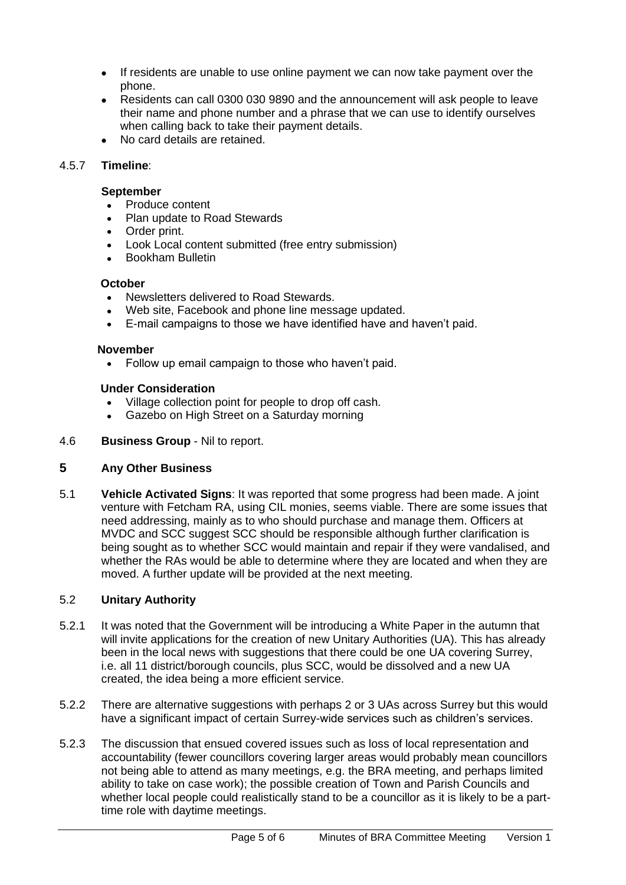- If residents are unable to use online payment we can now take payment over the phone.
- Residents can call 0300 030 9890 and the announcement will ask people to leave their name and phone number and a phrase that we can use to identify ourselves when calling back to take their payment details.
- No card details are retained.

# 4.5.7 **Timeline**:

## **September**

- Produce content
- Plan update to Road Stewards
- Order print.
- Look Local content submitted (free entry submission)
- Bookham Bulletin

# **October**

- Newsletters delivered to Road Stewards.
- Web site, Facebook and phone line message updated.
- E-mail campaigns to those we have identified have and haven't paid.

# **November**

• Follow up email campaign to those who haven't paid.

## **Under Consideration**

- Village collection point for people to drop off cash.
- Gazebo on High Street on a Saturday morning

# 4.6 **Business Group** - Nil to report.

# **5 Any Other Business**

5.1 **Vehicle Activated Signs**: It was reported that some progress had been made. A joint venture with Fetcham RA, using CIL monies, seems viable. There are some issues that need addressing, mainly as to who should purchase and manage them. Officers at MVDC and SCC suggest SCC should be responsible although further clarification is being sought as to whether SCC would maintain and repair if they were vandalised, and whether the RAs would be able to determine where they are located and when they are moved. A further update will be provided at the next meeting.

# 5.2 **Unitary Authority**

- 5.2.1 It was noted that the Government will be introducing a White Paper in the autumn that will invite applications for the creation of new Unitary Authorities (UA). This has already been in the local news with suggestions that there could be one UA covering Surrey, i.e. all 11 district/borough councils, plus SCC, would be dissolved and a new UA created, the idea being a more efficient service.
- 5.2.2 There are alternative suggestions with perhaps 2 or 3 UAs across Surrey but this would have a significant impact of certain Surrey-wide services such as children's services.
- 5.2.3 The discussion that ensued covered issues such as loss of local representation and accountability (fewer councillors covering larger areas would probably mean councillors not being able to attend as many meetings, e.g. the BRA meeting, and perhaps limited ability to take on case work); the possible creation of Town and Parish Councils and whether local people could realistically stand to be a councillor as it is likely to be a parttime role with daytime meetings.